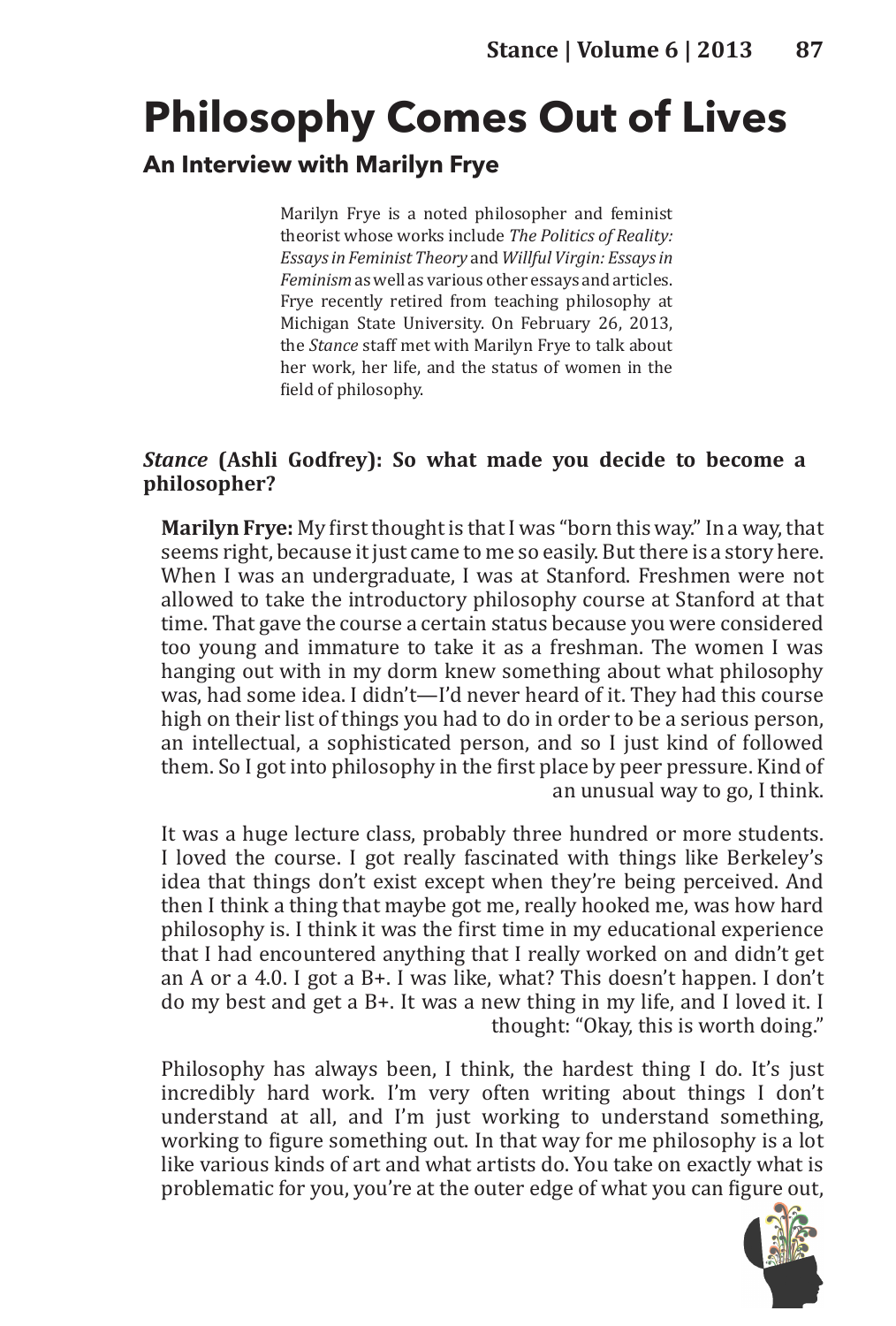# **Philosophy Comes Out of Lives**

## **An Interview with Marilyn Frye**

Marilyn Frye is a noted philosopher and feminist theorist whose works include *The Politics of Reality: Essays in Feminist Theory* and *Willful Virgin: Essays in Feminism* as well as various other essays and articles. Frye recently retired from teaching philosophy at Michigan State University. On February 26, 2013, the *Stance* staff met with Marilyn Frye to talk about her work, her life, and the status of women in the field of philosophy.

## *Stance* **(Ashli Godfrey): So what made you decide to become a philosopher?**

**Marilyn Frye:** My first thought is that I was "born this way." In a way, that seems right, because it just came to me so easily. But there is a story here. When I was an undergraduate, I was at Stanford. Freshmen were not allowed to take the introductory philosophy course at Stanford at that time. That gave the course a certain status because you were considered too young and immature to take it as a freshman. The women I was hanging out with in my dorm knew something about what philosophy was, had some idea. I didn't—I'd never heard of it. They had this course high on their list of things you had to do in order to be a serious person, an intellectual, a sophisticated person, and so I just kind of followed them. So I got into philosophy in the first place by peer pressure. Kind of an unusual way to go, I think.

It was a huge lecture class, probably three hundred or more students. I loved the course. I got really fascinated with things like Berkeley's idea that things don't exist except when they're being perceived. And then I think a thing that maybe got me, really hooked me, was how hard philosophy is. I think it was the first time in my educational experience that I had encountered anything that I really worked on and didn't get an A or a 4.0. I got a B+. I was like, what? This doesn't happen. I don't do my best and get a B+. It was a new thing in my life, and I loved it. I thought: "Okay, this is worth doing."

Philosophy has always been, I think, the hardest thing I do. It's just incredibly hard work. I'm very often writing about things I don't understand at all, and I'm just working to understand something, working to figure something out. In that way for me philosophy is a lot like various kinds of art and what artists do. You take on exactly what is problematic for you, you're at the outer edge of what you can figure out,

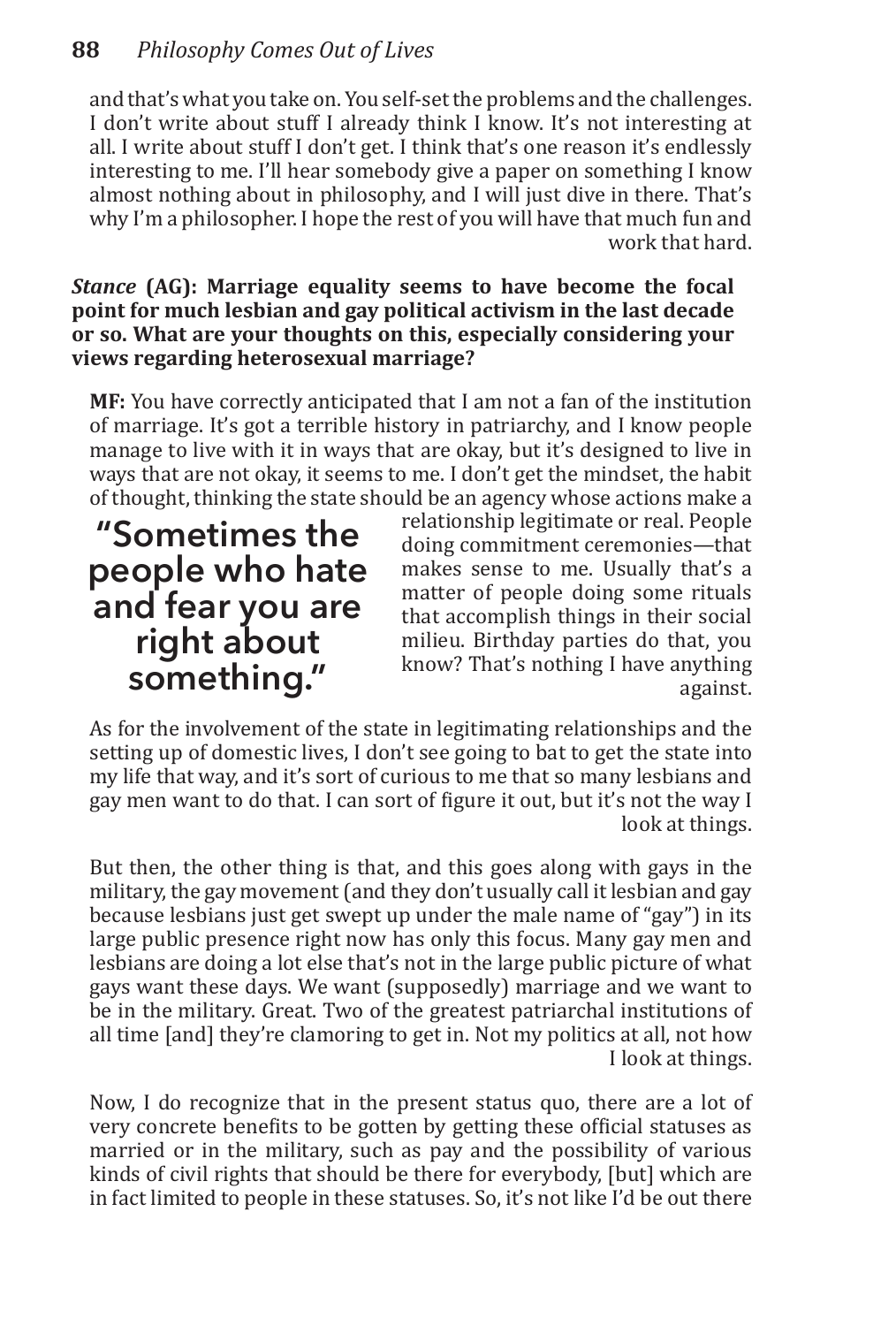and that's what you take on. You self-set the problems and the challenges. I don't write about stuff I already think I know. It's not interesting at all. I write about stuff I don't get. I think that's one reason it's endlessly interesting to me. I'll hear somebody give a paper on something I know almost nothing about in philosophy, and I will just dive in there. That's why I'm a philosopher. I hope the rest of you will have that much fun and work that hard.

## *Stance* **(AG): Marriage equality seems to have become the focal point for much lesbian and gay political activism in the last decade or so. What are your thoughts on this, especially considering your views regarding heterosexual marriage?**

**MF:** You have correctly anticipated that I am not a fan of the institution of marriage. It's got a terrible history in patriarchy, and I know people manage to live with it in ways that are okay, but it's designed to live in ways that are not okay, it seems to me. I don't get the mindset, the habit of thought, thinking the state should be an agency whose actions make a

**"Sometimes the people who hate and fear you are right about something."**

relationship legitimate or real. People doing commitment ceremonies—that makes sense to me. Usually that's a matter of people doing some rituals that accomplish things in their social milieu. Birthday parties do that, you know? That's nothing I have anything against.

As for the involvement of the state in legitimating relationships and the setting up of domestic lives, I don't see going to bat to get the state into my life that way, and it's sort of curious to me that so many lesbians and gay men want to do that. I can sort of figure it out, but it's not the way I look at things.

But then, the other thing is that, and this goes along with gays in the military, the gay movement (and they don't usually call it lesbian and gay because lesbians just get swept up under the male name of "gay") in its large public presence right now has only this focus. Many gay men and lesbians are doing a lot else that's not in the large public picture of what gays want these days. We want (supposedly) marriage and we want to be in the military. Great. Two of the greatest patriarchal institutions of all time [and] they're clamoring to get in. Not my politics at all, not how I look at things.

Now, I do recognize that in the present status quo, there are a lot of very concrete benefits to be gotten by getting these official statuses as married or in the military, such as pay and the possibility of various kinds of civil rights that should be there for everybody, [but] which are in fact limited to people in these statuses. So, it's not like I'd be out there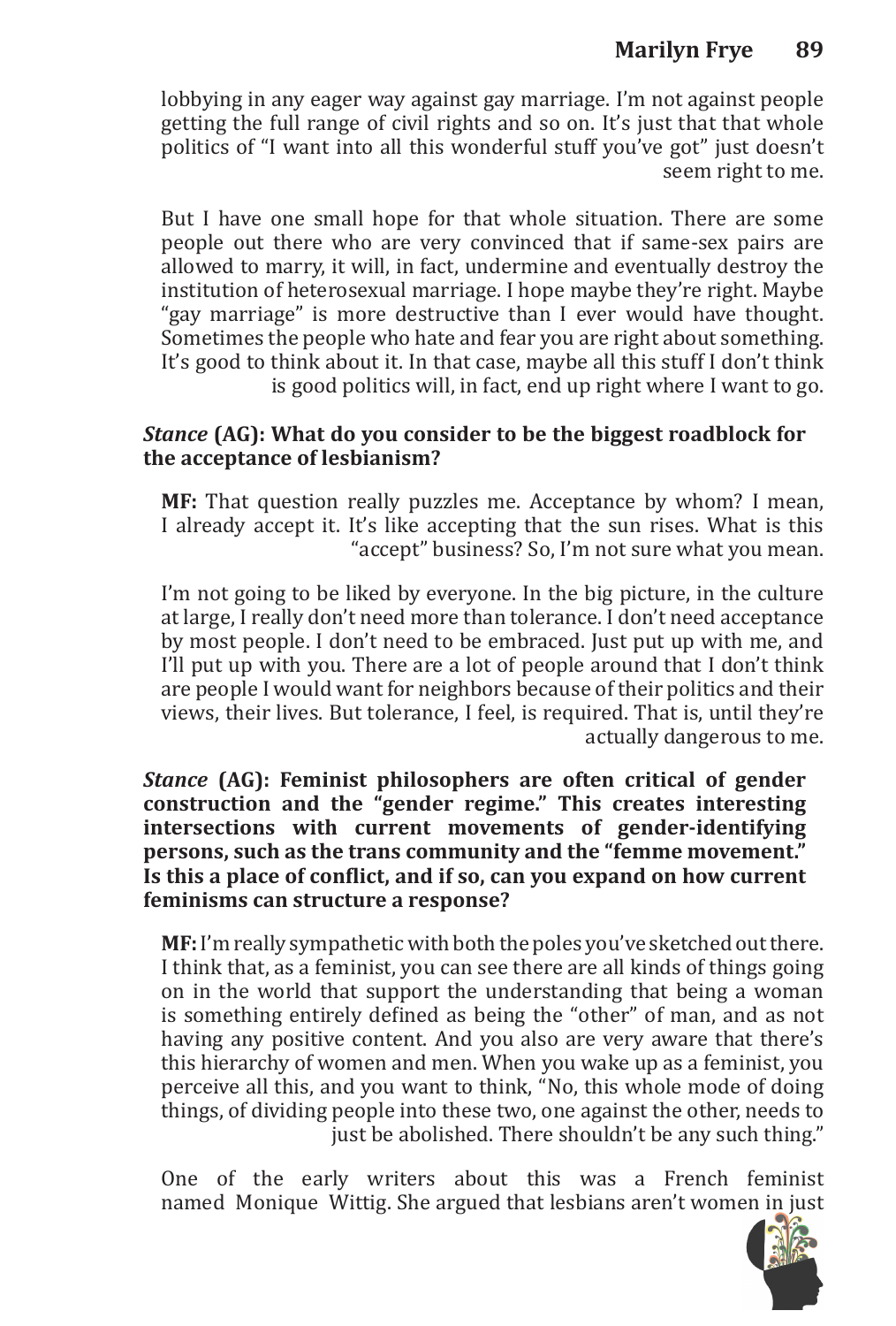# **Marilyn Frye 89**

lobbying in any eager way against gay marriage. I'm not against people getting the full range of civil rights and so on. It's just that that whole politics of "I want into all this wonderful stuff you've got" just doesn't seem right to me.

But I have one small hope for that whole situation. There are some people out there who are very convinced that if same-sex pairs are allowed to marry, it will, in fact, undermine and eventually destroy the institution of heterosexual marriage. I hope maybe they're right. Maybe "gay marriage" is more destructive than I ever would have thought. Sometimes the people who hate and fear you are right about something. It's good to think about it. In that case, maybe all this stuff I don't think is good politics will, in fact, end up right where I want to go.

## *Stance* **(AG): What do you consider to be the biggest roadblock for the acceptance of lesbianism?**

**MF:** That question really puzzles me. Acceptance by whom? I mean, I already accept it. It's like accepting that the sun rises. What is this "accept" business? So, I'm not sure what you mean.

I'm not going to be liked by everyone. In the big picture, in the culture at large, I really don't need more than tolerance. I don't need acceptance by most people. I don't need to be embraced. Just put up with me, and I'll put up with you. There are a lot of people around that I don't think are people I would want for neighbors because of their politics and their views, their lives. But tolerance, I feel, is required. That is, until they're actually dangerous to me.

*Stance* **(AG): Feminist philosophers are often critical of gender construction and the "gender regime." This creates interesting intersections with current movements of gender-identifying persons, such as the trans community and the "femme movement." Is this a place of conflict, and if so, can you expand on how current feminisms can structure a response?**

**MF:** I'm really sympathetic with both the poles you've sketched out there. I think that, as a feminist, you can see there are all kinds of things going on in the world that support the understanding that being a woman is something entirely defined as being the "other" of man, and as not having any positive content. And you also are very aware that there's this hierarchy of women and men. When you wake up as a feminist, you perceive all this, and you want to think, "No, this whole mode of doing things, of dividing people into these two, one against the other, needs to just be abolished. There shouldn't be any such thing."

One of the early writers about this was a French feminist named Monique Wittig. She argued that lesbians aren't women in just

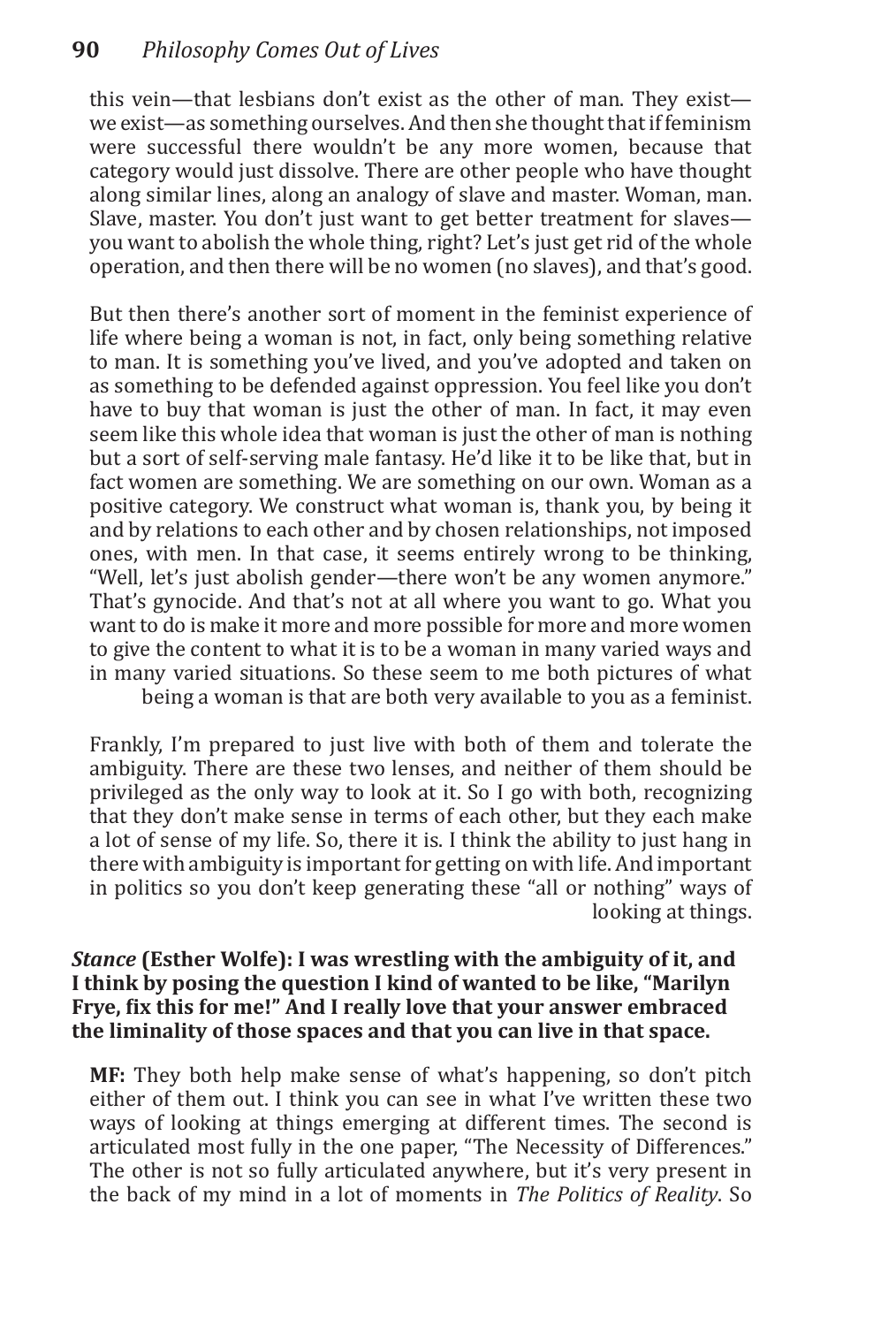this vein—that lesbians don't exist as the other of man. They exist we exist—as something ourselves. And then she thought that if feminism were successful there wouldn't be any more women, because that category would just dissolve. There are other people who have thought along similar lines, along an analogy of slave and master. Woman, man. Slave, master. You don't just want to get better treatment for slaves you want to abolish the whole thing, right? Let's just get rid of the whole operation, and then there will be no women (no slaves), and that's good.

But then there's another sort of moment in the feminist experience of life where being a woman is not, in fact, only being something relative to man. It is something you've lived, and you've adopted and taken on as something to be defended against oppression. You feel like you don't have to buy that woman is just the other of man. In fact, it may even seem like this whole idea that woman is just the other of man is nothing but a sort of self-serving male fantasy. He'd like it to be like that, but in fact women are something. We are something on our own. Woman as a positive category. We construct what woman is, thank you, by being it and by relations to each other and by chosen relationships, not imposed ones, with men. In that case, it seems entirely wrong to be thinking, "Well, let's just abolish gender—there won't be any women anymore." That's gynocide. And that's not at all where you want to go. What you want to do is make it more and more possible for more and more women to give the content to what it is to be a woman in many varied ways and in many varied situations. So these seem to me both pictures of what being a woman is that are both very available to you as a feminist.

Frankly, I'm prepared to just live with both of them and tolerate the ambiguity. There are these two lenses, and neither of them should be privileged as the only way to look at it. So I go with both, recognizing that they don't make sense in terms of each other, but they each make a lot of sense of my life. So, there it is. I think the ability to just hang in there with ambiguity is important for getting on with life. And important in politics so you don't keep generating these "all or nothing" ways of looking at things.

## *Stance* **(Esther Wolfe): I was wrestling with the ambiguity of it, and I think by posing the question I kind of wanted to be like, "Marilyn Frye, fix this for me!" And I really love that your answer embraced the liminality of those spaces and that you can live in that space.**

**MF:** They both help make sense of what's happening, so don't pitch either of them out. I think you can see in what I've written these two ways of looking at things emerging at different times. The second is articulated most fully in the one paper, "The Necessity of Differences." The other is not so fully articulated anywhere, but it's very present in the back of my mind in a lot of moments in *The Politics of Reality*. So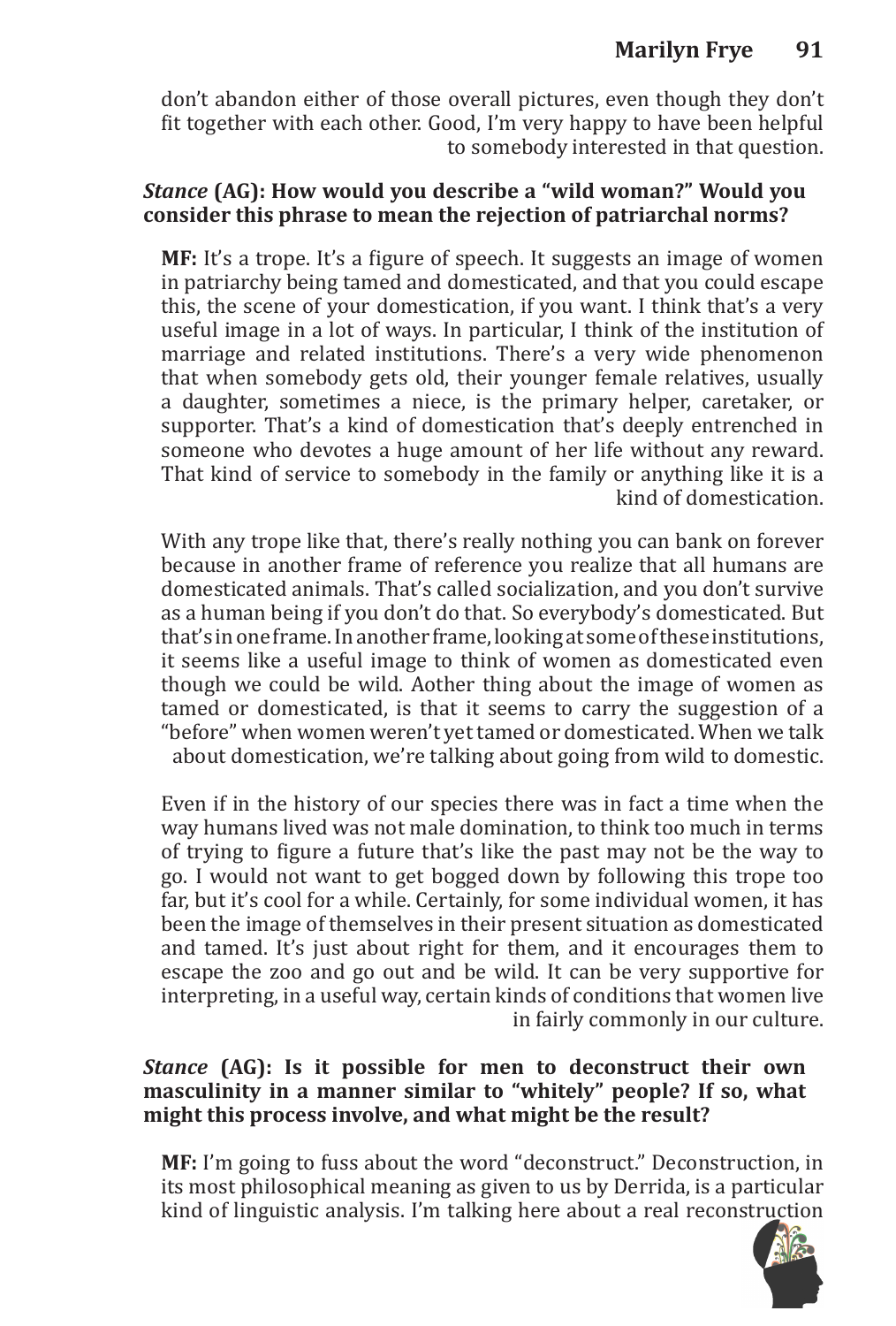# **Marilyn Frye 91**

don't abandon either of those overall pictures, even though they don't fit together with each other. Good, I'm very happy to have been helpful to somebody interested in that question.

## *Stance* **(AG): How would you describe a "wild woman?" Would you consider this phrase to mean the rejection of patriarchal norms?**

**MF:** It's a trope. It's a figure of speech. It suggests an image of women in patriarchy being tamed and domesticated, and that you could escape this, the scene of your domestication, if you want. I think that's a very useful image in a lot of ways. In particular, I think of the institution of marriage and related institutions. There's a very wide phenomenon that when somebody gets old, their younger female relatives, usually a daughter, sometimes a niece, is the primary helper, caretaker, or supporter. That's a kind of domestication that's deeply entrenched in someone who devotes a huge amount of her life without any reward. That kind of service to somebody in the family or anything like it is a kind of domestication.

With any trope like that, there's really nothing you can bank on forever because in another frame of reference you realize that all humans are domesticated animals. That's called socialization, and you don't survive as a human being if you don't do that. So everybody's domesticated. But that's in one frame. In another frame, looking at some of these institutions, it seems like a useful image to think of women as domesticated even though we could be wild. Aother thing about the image of women as tamed or domesticated, is that it seems to carry the suggestion of a "before" when women weren't yet tamed or domesticated. When we talk about domestication, we're talking about going from wild to domestic.

Even if in the history of our species there was in fact a time when the way humans lived was not male domination, to think too much in terms of trying to figure a future that's like the past may not be the way to go. I would not want to get bogged down by following this trope too far, but it's cool for a while. Certainly, for some individual women, it has been the image of themselves in their present situation as domesticated and tamed. It's just about right for them, and it encourages them to escape the zoo and go out and be wild. It can be very supportive for interpreting, in a useful way, certain kinds of conditions that women live in fairly commonly in our culture.

## *Stance* **(AG): Is it possible for men to deconstruct their own masculinity in a manner similar to "whitely" people? If so, what might this process involve, and what might be the result?**

**MF:** I'm going to fuss about the word "deconstruct." Deconstruction, in its most philosophical meaning as given to us by Derrida, is a particular kind of linguistic analysis. I'm talking here about a real reconstruction

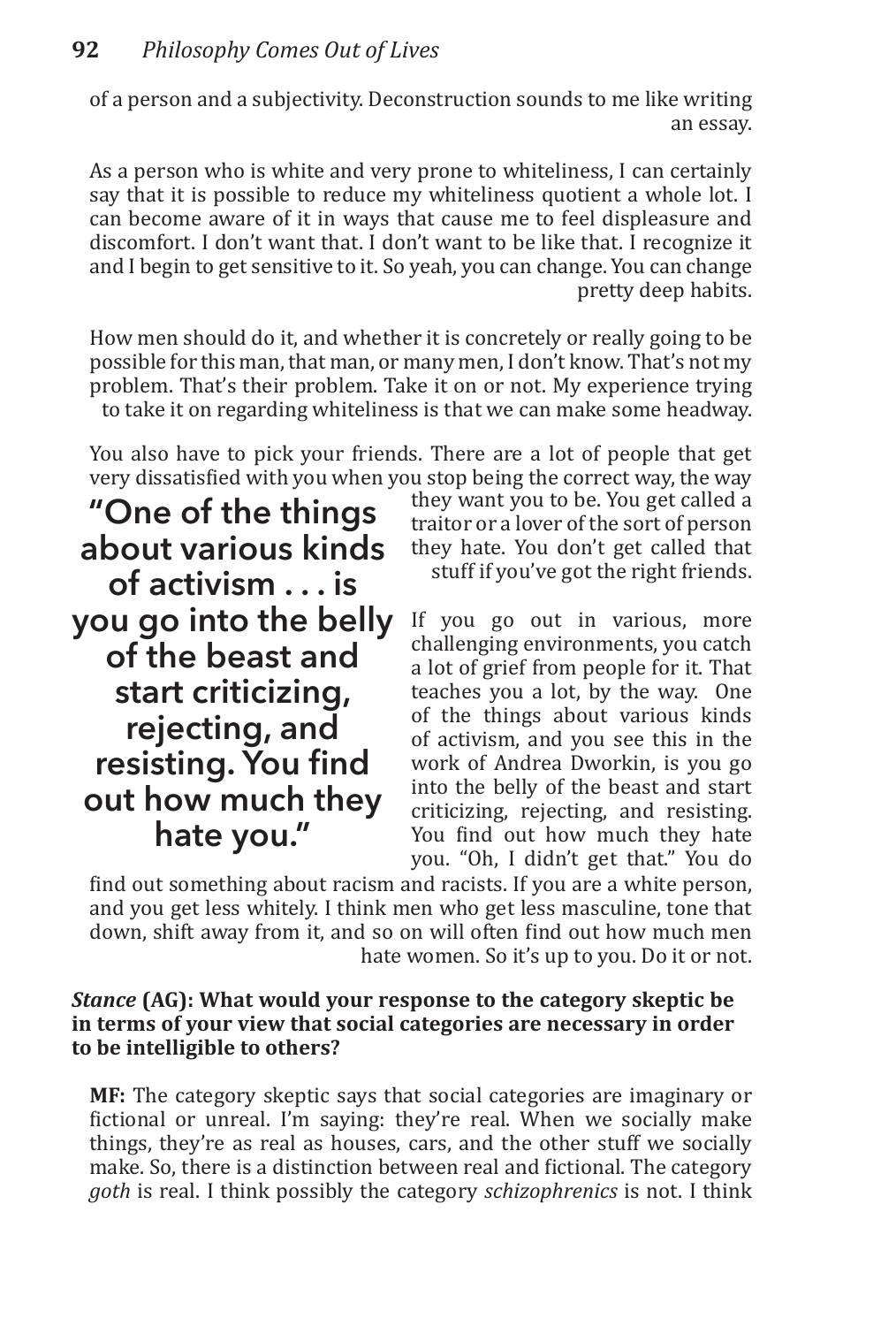of a person and a subjectivity. Deconstruction sounds to me like writing an essay.

As a person who is white and very prone to whiteliness, I can certainly say that it is possible to reduce my whiteliness quotient a whole lot. I can become aware of it in ways that cause me to feel displeasure and discomfort. I don't want that. I don't want to be like that. I recognize it and I begin to get sensitive to it. So yeah, you can change. You can change pretty deep habits.

How men should do it, and whether it is concretely or really going to be possible for this man, that man, or many men, I don't know. That's not my problem. That's their problem. Take it on or not. My experience trying to take it on regarding whiteliness is that we can make some headway.

You also have to pick your friends. There are a lot of people that get very dissatisfied with you when you stop being the correct way, the way

**"One of the things about various kinds of activism . . . is you go into the belly of the beast and start criticizing, rejecting, and resisting. You find out how much they hate you."**

they want you to be. You get called a traitor or a lover of the sort of person they hate. You don't get called that stuff if you've got the right friends.

If you go out in various, more challenging environments, you catch a lot of grief from people for it. That teaches you a lot, by the way. One of the things about various kinds of activism, and you see this in the work of Andrea Dworkin, is you go into the belly of the beast and start criticizing, rejecting, and resisting. You find out how much they hate you. "Oh, I didn't get that." You do

find out something about racism and racists. If you are a white person, and you get less whitely. I think men who get less masculine, tone that down, shift away from it, and so on will often find out how much men hate women. So it's up to you. Do it or not.

## *Stance* **(AG): What would your response to the category skeptic be in terms of your view that social categories are necessary in order to be intelligible to others?**

**MF:** The category skeptic says that social categories are imaginary or fictional or unreal. I'm saying: they're real. When we socially make things, they're as real as houses, cars, and the other stuff we socially make. So, there is a distinction between real and fictional. The category *goth* is real. I think possibly the category *schizophrenics* is not. I think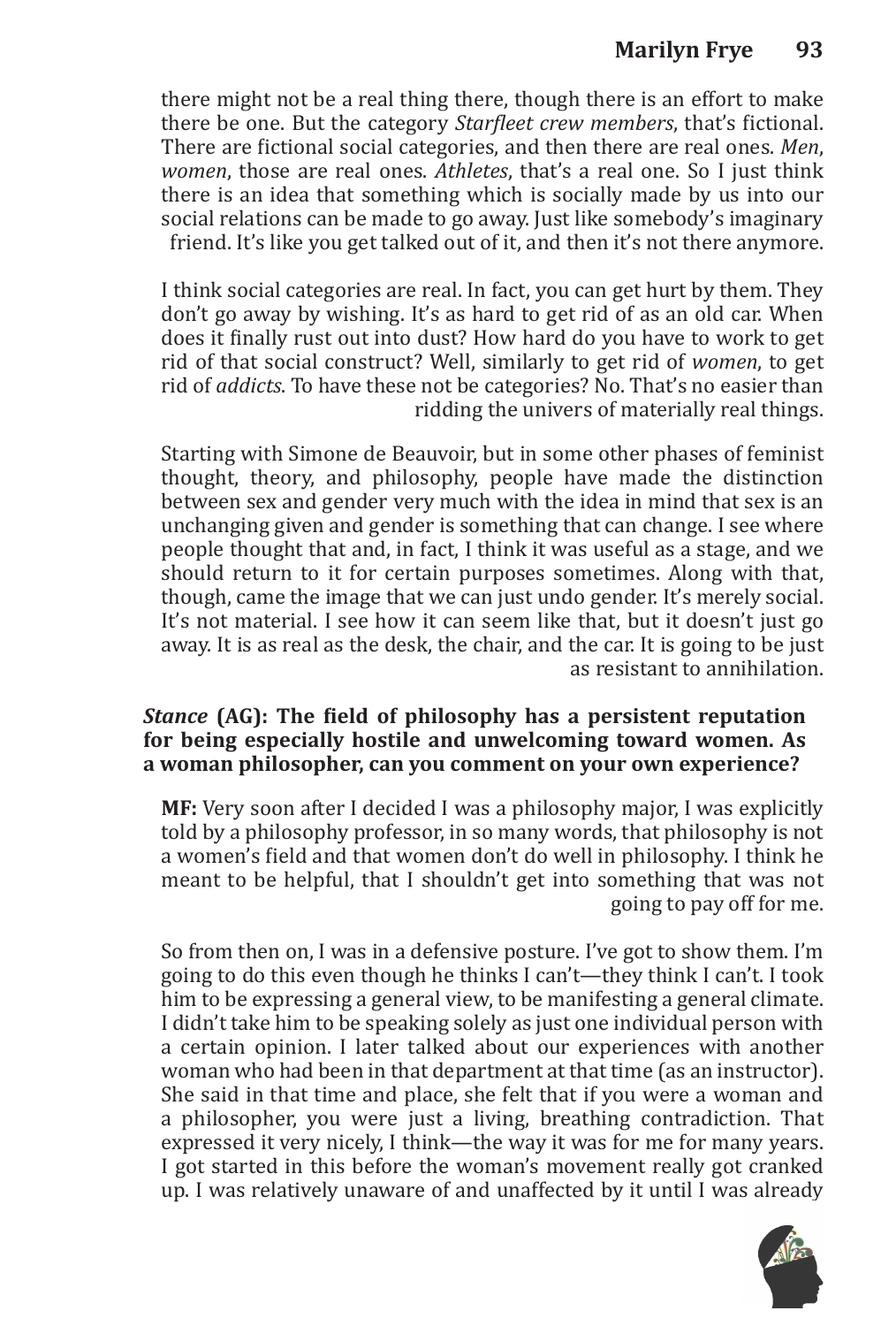there might not be a real thing there, though there is an effort to make there be one. But the category *Starfleet crew members*, that's fictional. There are fictional social categories, and then there are real ones. *Men*, *women*, those are real ones. *Athletes*, that's a real one. So I just think there is an idea that something which is socially made by us into our social relations can be made to go away. Just like somebody's imaginary friend. It's like you get talked out of it, and then it's not there anymore.

I think social categories are real. In fact, you can get hurt by them. They don't go away by wishing. It's as hard to get rid of as an old car. When does it finally rust out into dust? How hard do you have to work to get rid of that social construct? Well, similarly to get rid of *women*, to get rid of *addicts*. To have these not be categories? No. That's no easier than ridding the univers of materially real things.

Starting with Simone de Beauvoir, but in some other phases of feminist thought, theory, and philosophy, people have made the distinction between sex and gender very much with the idea in mind that sex is an unchanging given and gender is something that can change. I see where people thought that and, in fact, I think it was useful as a stage, and we should return to it for certain purposes sometimes. Along with that, though, came the image that we can just undo gender. It's merely social. It's not material. I see how it can seem like that, but it doesn't just go away. It is as real as the desk, the chair, and the car. It is going to be just as resistant to annihilation.

## *Stance* **(AG): The field of philosophy has a persistent reputation for being especially hostile and unwelcoming toward women. As a woman philosopher, can you comment on your own experience?**

**MF:** Very soon after I decided I was a philosophy major, I was explicitly told by a philosophy professor, in so many words, that philosophy is not a women's field and that women don't do well in philosophy. I think he meant to be helpful, that I shouldn't get into something that was not going to pay off for me.

So from then on, I was in a defensive posture. I've got to show them. I'm going to do this even though he thinks I can't—they think I can't. I took him to be expressing a general view, to be manifesting a general climate. I didn't take him to be speaking solely as just one individual person with a certain opinion. I later talked about our experiences with another woman who had been in that department at that time (as an instructor). She said in that time and place, she felt that if you were a woman and a philosopher, you were just a living, breathing contradiction. That expressed it very nicely, I think—the way it was for me for many years. I got started in this before the woman's movement really got cranked up. I was relatively unaware of and unaffected by it until I was already

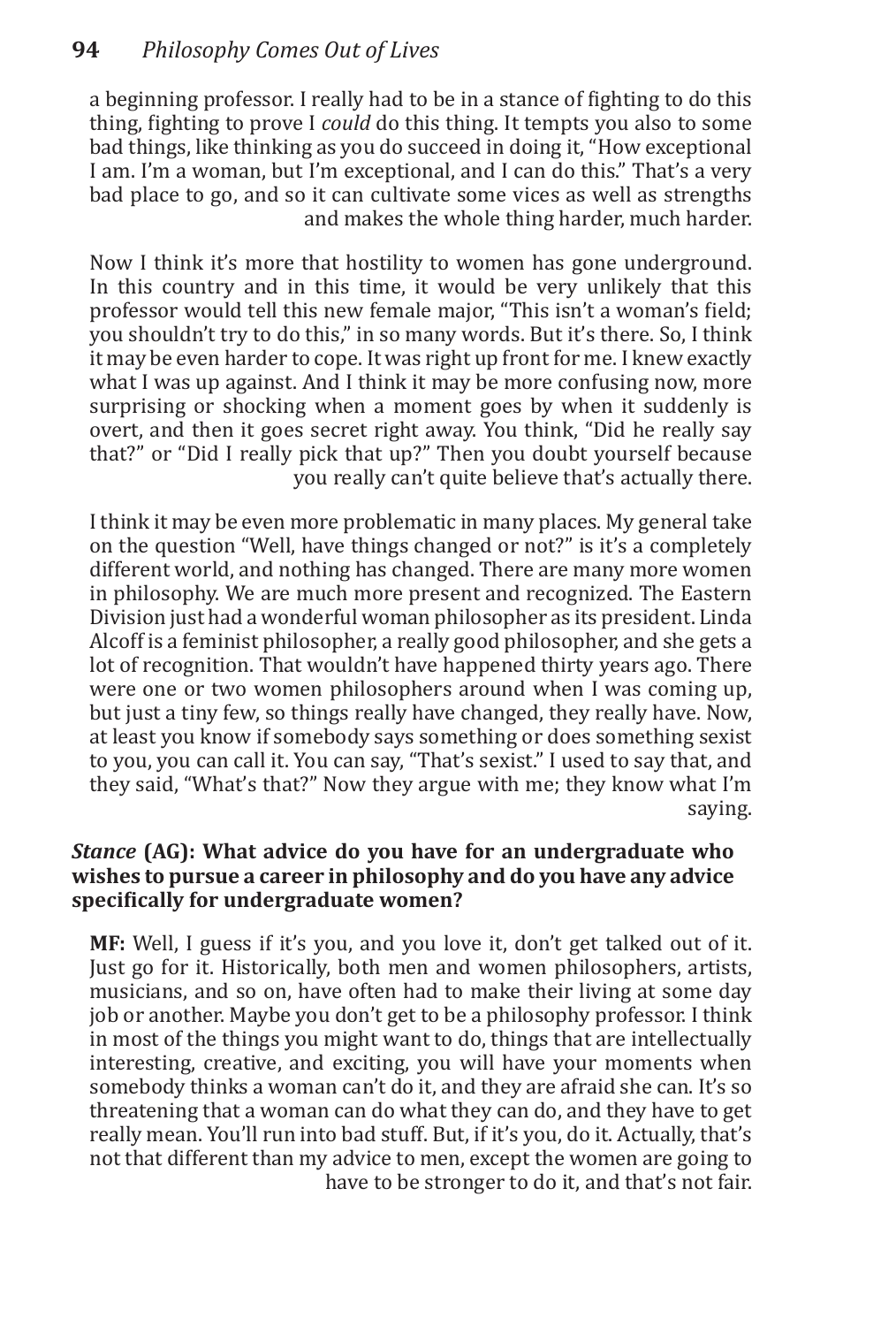a beginning professor. I really had to be in a stance of fighting to do this thing, fighting to prove I *could* do this thing. It tempts you also to some bad things, like thinking as you do succeed in doing it, "How exceptional I am. I'm a woman, but I'm exceptional, and I can do this." That's a very bad place to go, and so it can cultivate some vices as well as strengths and makes the whole thing harder, much harder.

Now I think it's more that hostility to women has gone underground. In this country and in this time, it would be very unlikely that this professor would tell this new female major, "This isn't a woman's field; you shouldn't try to do this," in so many words. But it's there. So, I think it may be even harder to cope. It was right up front for me. I knew exactly what I was up against. And I think it may be more confusing now, more surprising or shocking when a moment goes by when it suddenly is overt, and then it goes secret right away. You think, "Did he really say that?" or "Did I really pick that up?" Then you doubt yourself because you really can't quite believe that's actually there.

I think it may be even more problematic in many places. My general take on the question "Well, have things changed or not?" is it's a completely different world, and nothing has changed. There are many more women in philosophy. We are much more present and recognized. The Eastern Division just had a wonderful woman philosopher as its president. Linda Alcoff is a feminist philosopher, a really good philosopher, and she gets a lot of recognition. That wouldn't have happened thirty years ago. There were one or two women philosophers around when I was coming up, but just a tiny few, so things really have changed, they really have. Now, at least you know if somebody says something or does something sexist to you, you can call it. You can say, "That's sexist." I used to say that, and they said, "What's that?" Now they argue with me; they know what I'm saying.

## *Stance* **(AG): What advice do you have for an undergraduate who wishes to pursue a career in philosophy and do you have any advice specifically for undergraduate women?**

**MF:** Well, I guess if it's you, and you love it, don't get talked out of it. Just go for it. Historically, both men and women philosophers, artists, musicians, and so on, have often had to make their living at some day job or another. Maybe you don't get to be a philosophy professor. I think in most of the things you might want to do, things that are intellectually interesting, creative, and exciting, you will have your moments when somebody thinks a woman can't do it, and they are afraid she can. It's so threatening that a woman can do what they can do, and they have to get really mean. You'll run into bad stuff. But, if it's you, do it. Actually, that's not that different than my advice to men, except the women are going to have to be stronger to do it, and that's not fair.